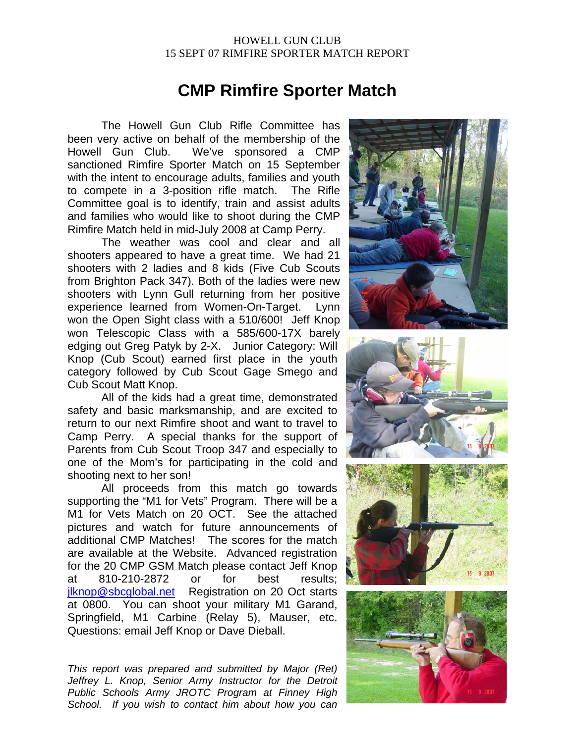## HOWELL GUN CLUB 15 SEPT 07 RIMFIRE SPORTER MATCH REPORT

## **CMP Rimfire Sporter Match**

The Howell Gun Club Rifle Committee has been very active on behalf of the membership of the Howell Gun Club. We've sponsored a CMP sanctioned Rimfire Sporter Match on 15 September with the intent to encourage adults, families and youth to compete in a 3-position rifle match. The Rifle Committee goal is to identify, train and assist adults and families who would like to shoot during the CMP Rimfire Match held in mid-July 2008 at Camp Perry.

 The weather was cool and clear and all shooters appeared to have a great time. We had 21 shooters with 2 ladies and 8 kids (Five Cub Scouts from Brighton Pack 347). Both of the ladies were new shooters with Lynn Gull returning from her positive experience learned from Women-On-Target. Lynn won the Open Sight class with a 510/600! Jeff Knop won Telescopic Class with a 585/600-17X barely edging out Greg Patyk by 2-X. Junior Category: Will Knop (Cub Scout) earned first place in the youth category followed by Cub Scout Gage Smego and Cub Scout Matt Knop.

 All of the kids had a great time, demonstrated safety and basic marksmanship, and are excited to return to our next Rimfire shoot and want to travel to Camp Perry. A special thanks for the support of Parents from Cub Scout Troop 347 and especially to one of the Mom's for participating in the cold and shooting next to her son!

 All proceeds from this match go towards supporting the "M1 for Vets" Program. There will be a M1 for Vets Match on 20 OCT. See the attached pictures and watch for future announcements of additional CMP Matches! The scores for the match are available at the Website. Advanced registration for the 20 CMP GSM Match please contact Jeff Knop at 810-210-2872 or for best results; ilknop@sbcglobal.net Registration on 20 Oct starts at 0800. You can shoot your military M1 Garand, Springfield, M1 Carbine (Relay 5), Mauser, etc. Questions: email Jeff Knop or Dave Dieball.

*This report was prepared and submitted by Major (Ret) Jeffrey L. Knop, Senior Army Instructor for the Detroit Public Schools Army JROTC Program at Finney High School. If you wish to contact him about how you can*